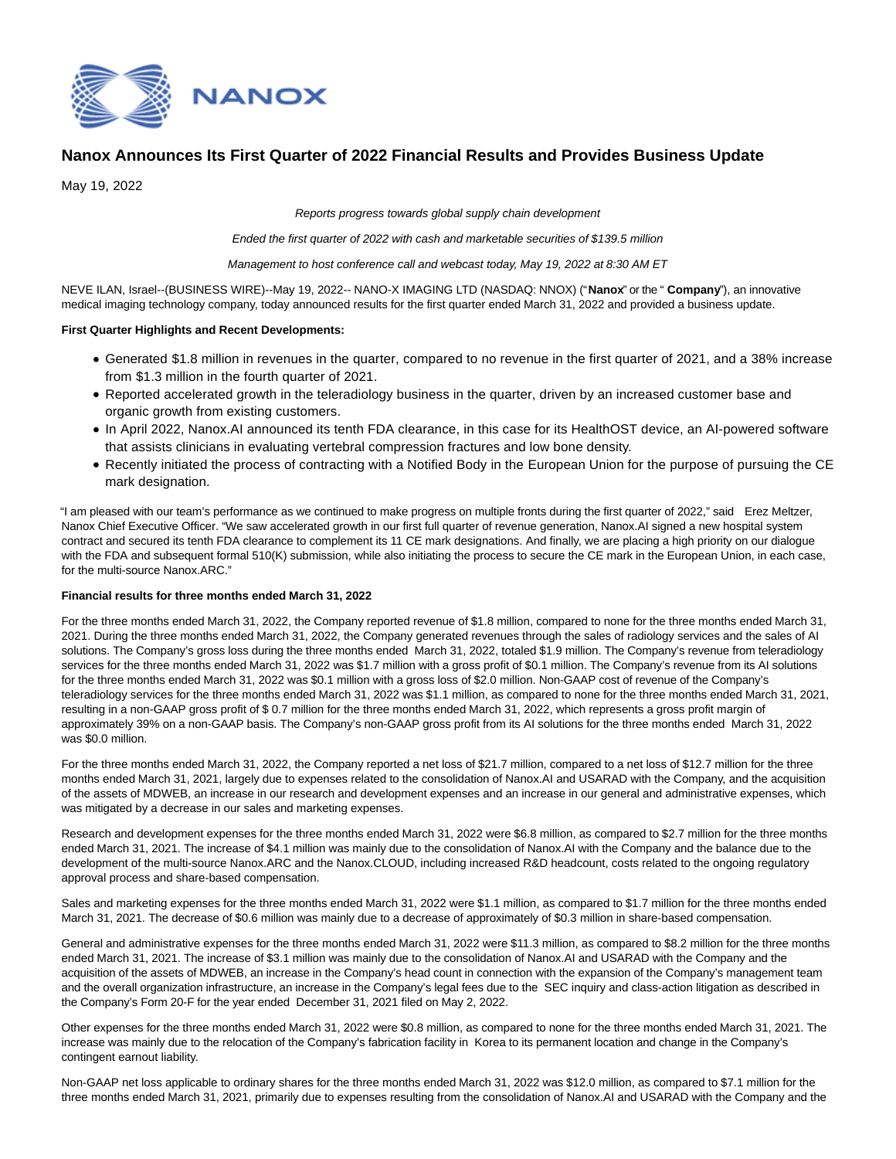

# **Nanox Announces Its First Quarter of 2022 Financial Results and Provides Business Update**

May 19, 2022

Reports progress towards global supply chain development

Ended the first quarter of 2022 with cash and marketable securities of \$139.5 million

Management to host conference call and webcast today, May 19, 2022 at 8:30 AM ET

NEVE ILAN, Israel--(BUSINESS WIRE)--May 19, 2022-- NANO-X IMAGING LTD (NASDAQ: NNOX) ("**Nanox**" or the " **Company**"), an innovative medical imaging technology company, today announced results for the first quarter ended March 31, 2022 and provided a business update.

### **First Quarter Highlights and Recent Developments:**

- Generated \$1.8 million in revenues in the quarter, compared to no revenue in the first quarter of 2021, and a 38% increase from \$1.3 million in the fourth quarter of 2021.
- Reported accelerated growth in the teleradiology business in the quarter, driven by an increased customer base and organic growth from existing customers.
- In April 2022, Nanox.AI announced its tenth FDA clearance, in this case for its HealthOST device, an AI-powered software that assists clinicians in evaluating vertebral compression fractures and low bone density.
- Recently initiated the process of contracting with a Notified Body in the European Union for the purpose of pursuing the CE mark designation.

"I am pleased with our team's performance as we continued to make progress on multiple fronts during the first quarter of 2022," said Erez Meltzer, Nanox Chief Executive Officer. "We saw accelerated growth in our first full quarter of revenue generation, Nanox.AI signed a new hospital system contract and secured its tenth FDA clearance to complement its 11 CE mark designations. And finally, we are placing a high priority on our dialogue with the FDA and subsequent formal 510(K) submission, while also initiating the process to secure the CE mark in the European Union, in each case, for the multi-source Nanox.ARC."

### **Financial results for three months ended March 31, 2022**

For the three months ended March 31, 2022, the Company reported revenue of \$1.8 million, compared to none for the three months ended March 31, 2021. During the three months ended March 31, 2022, the Company generated revenues through the sales of radiology services and the sales of AI solutions. The Company's gross loss during the three months ended March 31, 2022, totaled \$1.9 million. The Company's revenue from teleradiology services for the three months ended March 31, 2022 was \$1.7 million with a gross profit of \$0.1 million. The Company's revenue from its AI solutions for the three months ended March 31, 2022 was \$0.1 million with a gross loss of \$2.0 million. Non-GAAP cost of revenue of the Company's teleradiology services for the three months ended March 31, 2022 was \$1.1 million, as compared to none for the three months ended March 31, 2021, resulting in a non-GAAP gross profit of \$ 0.7 million for the three months ended March 31, 2022, which represents a gross profit margin of approximately 39% on a non-GAAP basis. The Company's non-GAAP gross profit from its AI solutions for the three months ended March 31, 2022 was \$0.0 million.

For the three months ended March 31, 2022, the Company reported a net loss of \$21.7 million, compared to a net loss of \$12.7 million for the three months ended March 31, 2021, largely due to expenses related to the consolidation of Nanox.AI and USARAD with the Company, and the acquisition of the assets of MDWEB, an increase in our research and development expenses and an increase in our general and administrative expenses, which was mitigated by a decrease in our sales and marketing expenses.

Research and development expenses for the three months ended March 31, 2022 were \$6.8 million, as compared to \$2.7 million for the three months ended March 31, 2021. The increase of \$4.1 million was mainly due to the consolidation of Nanox.AI with the Company and the balance due to the development of the multi-source Nanox.ARC and the Nanox.CLOUD, including increased R&D headcount, costs related to the ongoing regulatory approval process and share-based compensation.

Sales and marketing expenses for the three months ended March 31, 2022 were \$1.1 million, as compared to \$1.7 million for the three months ended March 31, 2021. The decrease of \$0.6 million was mainly due to a decrease of approximately of \$0.3 million in share-based compensation.

General and administrative expenses for the three months ended March 31, 2022 were \$11.3 million, as compared to \$8.2 million for the three months ended March 31, 2021. The increase of \$3.1 million was mainly due to the consolidation of Nanox.AI and USARAD with the Company and the acquisition of the assets of MDWEB, an increase in the Company's head count in connection with the expansion of the Company's management team and the overall organization infrastructure, an increase in the Company's legal fees due to the SEC inquiry and class-action litigation as described in the Company's Form 20-F for the year ended December 31, 2021 filed on May 2, 2022.

Other expenses for the three months ended March 31, 2022 were \$0.8 million, as compared to none for the three months ended March 31, 2021. The increase was mainly due to the relocation of the Company's fabrication facility in Korea to its permanent location and change in the Company's contingent earnout liability.

Non-GAAP net loss applicable to ordinary shares for the three months ended March 31, 2022 was \$12.0 million, as compared to \$7.1 million for the three months ended March 31, 2021, primarily due to expenses resulting from the consolidation of Nanox.AI and USARAD with the Company and the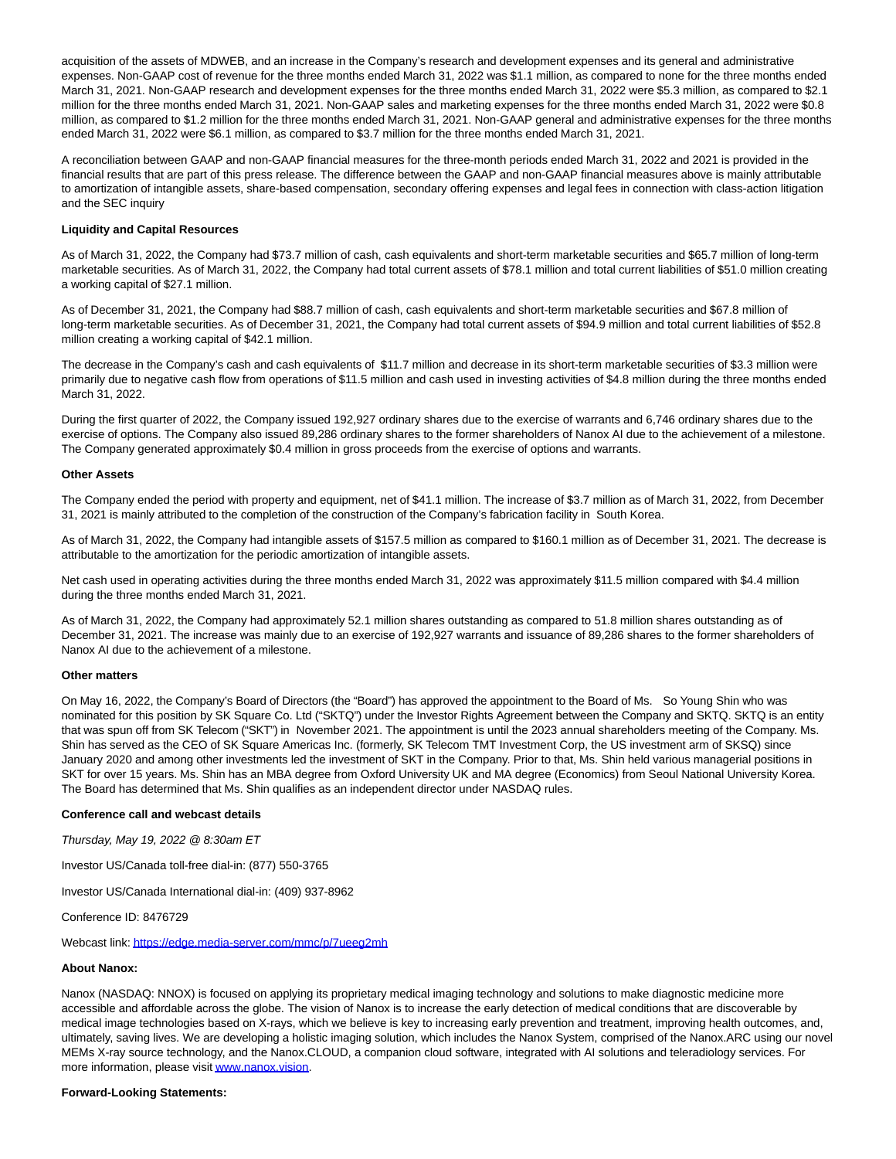acquisition of the assets of MDWEB, and an increase in the Company's research and development expenses and its general and administrative expenses. Non-GAAP cost of revenue for the three months ended March 31, 2022 was \$1.1 million, as compared to none for the three months ended March 31, 2021. Non-GAAP research and development expenses for the three months ended March 31, 2022 were \$5.3 million, as compared to \$2.1 million for the three months ended March 31, 2021. Non-GAAP sales and marketing expenses for the three months ended March 31, 2022 were \$0.8 million, as compared to \$1.2 million for the three months ended March 31, 2021. Non-GAAP general and administrative expenses for the three months ended March 31, 2022 were \$6.1 million, as compared to \$3.7 million for the three months ended March 31, 2021.

A reconciliation between GAAP and non-GAAP financial measures for the three-month periods ended March 31, 2022 and 2021 is provided in the financial results that are part of this press release. The difference between the GAAP and non-GAAP financial measures above is mainly attributable to amortization of intangible assets, share-based compensation, secondary offering expenses and legal fees in connection with class-action litigation and the SEC inquiry

## **Liquidity and Capital Resources**

As of March 31, 2022, the Company had \$73.7 million of cash, cash equivalents and short-term marketable securities and \$65.7 million of long-term marketable securities. As of March 31, 2022, the Company had total current assets of \$78.1 million and total current liabilities of \$51.0 million creating a working capital of \$27.1 million.

As of December 31, 2021, the Company had \$88.7 million of cash, cash equivalents and short-term marketable securities and \$67.8 million of long-term marketable securities. As of December 31, 2021, the Company had total current assets of \$94.9 million and total current liabilities of \$52.8 million creating a working capital of \$42.1 million.

The decrease in the Company's cash and cash equivalents of \$11.7 million and decrease in its short-term marketable securities of \$3.3 million were primarily due to negative cash flow from operations of \$11.5 million and cash used in investing activities of \$4.8 million during the three months ended March 31, 2022.

During the first quarter of 2022, the Company issued 192,927 ordinary shares due to the exercise of warrants and 6,746 ordinary shares due to the exercise of options. The Company also issued 89,286 ordinary shares to the former shareholders of Nanox AI due to the achievement of a milestone. The Company generated approximately \$0.4 million in gross proceeds from the exercise of options and warrants.

#### **Other Assets**

The Company ended the period with property and equipment, net of \$41.1 million. The increase of \$3.7 million as of March 31, 2022, from December 31, 2021 is mainly attributed to the completion of the construction of the Company's fabrication facility in South Korea.

As of March 31, 2022, the Company had intangible assets of \$157.5 million as compared to \$160.1 million as of December 31, 2021. The decrease is attributable to the amortization for the periodic amortization of intangible assets.

Net cash used in operating activities during the three months ended March 31, 2022 was approximately \$11.5 million compared with \$4.4 million during the three months ended March 31, 2021.

As of March 31, 2022, the Company had approximately 52.1 million shares outstanding as compared to 51.8 million shares outstanding as of December 31, 2021. The increase was mainly due to an exercise of 192,927 warrants and issuance of 89,286 shares to the former shareholders of Nanox AI due to the achievement of a milestone.

#### **Other matters**

On May 16, 2022, the Company's Board of Directors (the "Board") has approved the appointment to the Board of Ms. So Young Shin who was nominated for this position by SK Square Co. Ltd ("SKTQ") under the Investor Rights Agreement between the Company and SKTQ. SKTQ is an entity that was spun off from SK Telecom ("SKT") in November 2021. The appointment is until the 2023 annual shareholders meeting of the Company. Ms. Shin has served as the CEO of SK Square Americas Inc. (formerly, SK Telecom TMT Investment Corp, the US investment arm of SKSQ) since January 2020 and among other investments led the investment of SKT in the Company. Prior to that, Ms. Shin held various managerial positions in SKT for over 15 years. Ms. Shin has an MBA degree from Oxford University UK and MA degree (Economics) from Seoul National University Korea. The Board has determined that Ms. Shin qualifies as an independent director under NASDAQ rules.

### **Conference call and webcast details**

Thursday, May 19, 2022 @ 8:30am ET

Investor US/Canada toll-free dial-in: (877) 550-3765

Investor US/Canada International dial-in: (409) 937-8962

Conference ID: 8476729

Webcast link[: https://edge.media-server.com/mmc/p/7ueeg2mh](https://cts.businesswire.com/ct/CT?id=smartlink&url=https%3A%2F%2Fedge.media-server.com%2Fmmc%2Fp%2F7ueeg2mh&esheet=52724124&newsitemid=20220519005342&lan=en-US&anchor=https%3A%2F%2Fedge.media-server.com%2Fmmc%2Fp%2F7ueeg2mh&index=1&md5=7f7ed8db579e197de5a0217f26dfbe48)

### **About Nanox:**

Nanox (NASDAQ: NNOX) is focused on applying its proprietary medical imaging technology and solutions to make diagnostic medicine more accessible and affordable across the globe. The vision of Nanox is to increase the early detection of medical conditions that are discoverable by medical image technologies based on X-rays, which we believe is key to increasing early prevention and treatment, improving health outcomes, and, ultimately, saving lives. We are developing a holistic imaging solution, which includes the Nanox System, comprised of the Nanox.ARC using our novel MEMs X-ray source technology, and the Nanox.CLOUD, a companion cloud software, integrated with AI solutions and teleradiology services. For more information, please visi[t www.nanox.vision.](https://cts.businesswire.com/ct/CT?id=smartlink&url=http%3A%2F%2Fwww.nanox.vision&esheet=52724124&newsitemid=20220519005342&lan=en-US&anchor=www.nanox.vision&index=2&md5=4dc0972a72dac917bd2dff584928acd8)

#### **Forward-Looking Statements:**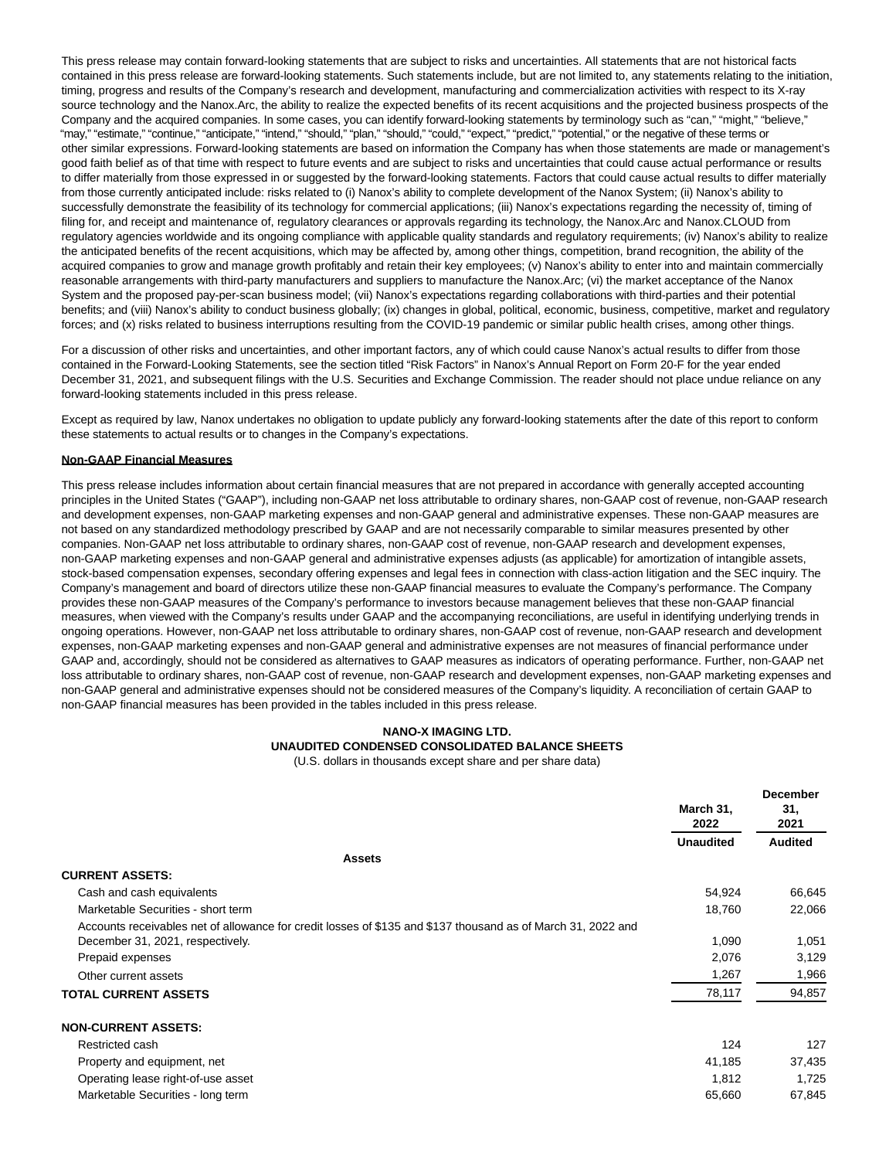This press release may contain forward-looking statements that are subject to risks and uncertainties. All statements that are not historical facts contained in this press release are forward-looking statements. Such statements include, but are not limited to, any statements relating to the initiation, timing, progress and results of the Company's research and development, manufacturing and commercialization activities with respect to its X-ray source technology and the Nanox.Arc, the ability to realize the expected benefits of its recent acquisitions and the projected business prospects of the Company and the acquired companies. In some cases, you can identify forward-looking statements by terminology such as "can," "might," "believe," "may," "estimate," "continue," "anticipate," "intend," "should," "plan," "should," "could," "expect," "predict," "potential," or the negative of these terms or other similar expressions. Forward-looking statements are based on information the Company has when those statements are made or management's good faith belief as of that time with respect to future events and are subject to risks and uncertainties that could cause actual performance or results to differ materially from those expressed in or suggested by the forward-looking statements. Factors that could cause actual results to differ materially from those currently anticipated include: risks related to (i) Nanox's ability to complete development of the Nanox System; (ii) Nanox's ability to successfully demonstrate the feasibility of its technology for commercial applications; (iii) Nanox's expectations regarding the necessity of, timing of filing for, and receipt and maintenance of, regulatory clearances or approvals regarding its technology, the Nanox.Arc and Nanox.CLOUD from regulatory agencies worldwide and its ongoing compliance with applicable quality standards and regulatory requirements; (iv) Nanox's ability to realize the anticipated benefits of the recent acquisitions, which may be affected by, among other things, competition, brand recognition, the ability of the acquired companies to grow and manage growth profitably and retain their key employees; (v) Nanox's ability to enter into and maintain commercially reasonable arrangements with third-party manufacturers and suppliers to manufacture the Nanox.Arc; (vi) the market acceptance of the Nanox System and the proposed pay-per-scan business model; (vii) Nanox's expectations regarding collaborations with third-parties and their potential benefits; and (viii) Nanox's ability to conduct business globally; (ix) changes in global, political, economic, business, competitive, market and regulatory forces; and (x) risks related to business interruptions resulting from the COVID-19 pandemic or similar public health crises, among other things.

For a discussion of other risks and uncertainties, and other important factors, any of which could cause Nanox's actual results to differ from those contained in the Forward-Looking Statements, see the section titled "Risk Factors" in Nanox's Annual Report on Form 20-F for the year ended December 31, 2021, and subsequent filings with the U.S. Securities and Exchange Commission. The reader should not place undue reliance on any forward-looking statements included in this press release.

Except as required by law, Nanox undertakes no obligation to update publicly any forward-looking statements after the date of this report to conform these statements to actual results or to changes in the Company's expectations.

#### **Non-GAAP Financial Measures**

This press release includes information about certain financial measures that are not prepared in accordance with generally accepted accounting principles in the United States ("GAAP"), including non-GAAP net loss attributable to ordinary shares, non-GAAP cost of revenue, non-GAAP research and development expenses, non-GAAP marketing expenses and non-GAAP general and administrative expenses. These non-GAAP measures are not based on any standardized methodology prescribed by GAAP and are not necessarily comparable to similar measures presented by other companies. Non-GAAP net loss attributable to ordinary shares, non-GAAP cost of revenue, non-GAAP research and development expenses, non-GAAP marketing expenses and non-GAAP general and administrative expenses adjusts (as applicable) for amortization of intangible assets, stock-based compensation expenses, secondary offering expenses and legal fees in connection with class-action litigation and the SEC inquiry. The Company's management and board of directors utilize these non-GAAP financial measures to evaluate the Company's performance. The Company provides these non-GAAP measures of the Company's performance to investors because management believes that these non-GAAP financial measures, when viewed with the Company's results under GAAP and the accompanying reconciliations, are useful in identifying underlying trends in ongoing operations. However, non-GAAP net loss attributable to ordinary shares, non-GAAP cost of revenue, non-GAAP research and development expenses, non-GAAP marketing expenses and non-GAAP general and administrative expenses are not measures of financial performance under GAAP and, accordingly, should not be considered as alternatives to GAAP measures as indicators of operating performance. Further, non-GAAP net loss attributable to ordinary shares, non-GAAP cost of revenue, non-GAAP research and development expenses, non-GAAP marketing expenses and non-GAAP general and administrative expenses should not be considered measures of the Company's liquidity. A reconciliation of certain GAAP to non-GAAP financial measures has been provided in the tables included in this press release.

# **NANO-X IMAGING LTD. UNAUDITED CONDENSED CONSOLIDATED BALANCE SHEETS**

(U.S. dollars in thousands except share and per share data)

|                                                                                                              | March 31,<br>2022 | <b>December</b><br>31.<br>2021 |
|--------------------------------------------------------------------------------------------------------------|-------------------|--------------------------------|
|                                                                                                              | <b>Unaudited</b>  | <b>Audited</b>                 |
| <b>Assets</b>                                                                                                |                   |                                |
| <b>CURRENT ASSETS:</b>                                                                                       |                   |                                |
| Cash and cash equivalents                                                                                    | 54,924            | 66,645                         |
| Marketable Securities - short term                                                                           | 18,760            | 22,066                         |
| Accounts receivables net of allowance for credit losses of \$135 and \$137 thousand as of March 31, 2022 and |                   |                                |
| December 31, 2021, respectively.                                                                             | 1,090             | 1,051                          |
| Prepaid expenses                                                                                             | 2,076             | 3,129                          |
| Other current assets                                                                                         | 1,267             | 1,966                          |
| <b>TOTAL CURRENT ASSETS</b>                                                                                  | 78,117            | 94,857                         |
| <b>NON-CURRENT ASSETS:</b>                                                                                   |                   |                                |
| Restricted cash                                                                                              | 124               | 127                            |
| Property and equipment, net                                                                                  | 41,185            | 37,435                         |
| Operating lease right-of-use asset                                                                           | 1,812             | 1,725                          |
| Marketable Securities - long term                                                                            | 65,660            | 67,845                         |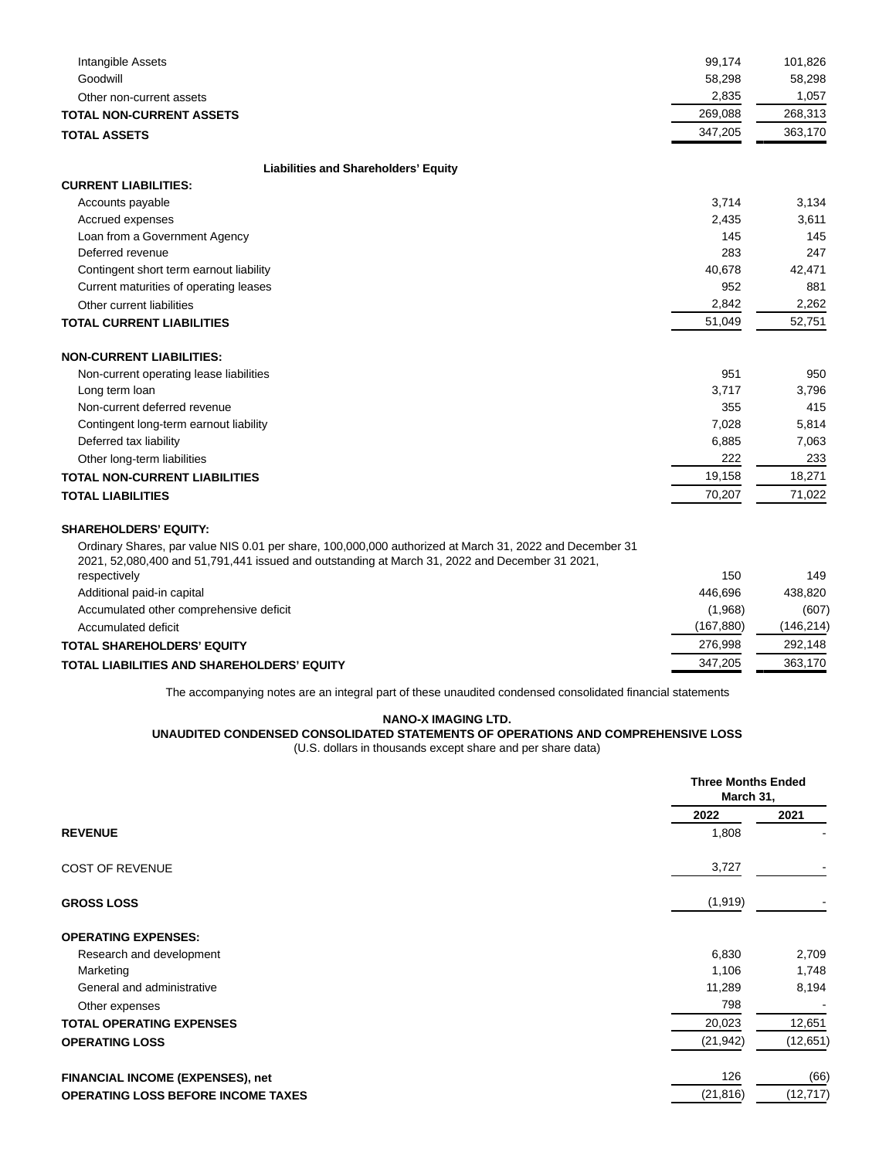| Intangible Assets                           | 99.174  | 101,826 |
|---------------------------------------------|---------|---------|
| Goodwill                                    | 58,298  | 58,298  |
| Other non-current assets                    | 2,835   | 1,057   |
| <b>TOTAL NON-CURRENT ASSETS</b>             | 269,088 | 268,313 |
| <b>TOTAL ASSETS</b>                         | 347,205 | 363,170 |
| <b>Liabilities and Shareholders' Equity</b> |         |         |
| <b>CURRENT LIABILITIES:</b>                 |         |         |
| Accounts payable                            | 3,714   | 3,134   |
| Accrued expenses                            | 2,435   | 3,611   |
| Loan from a Government Agency               | 145     | 145     |
| Deferred revenue                            | 283     | 247     |
| Contingent short term earnout liability     | 40,678  | 42,471  |
| Current maturities of operating leases      | 952     | 881     |
| Other current liabilities                   | 2,842   | 2,262   |
| <b>TOTAL CURRENT LIABILITIES</b>            | 51,049  | 52,751  |
| <b>NON-CURRENT LIABILITIES:</b>             |         |         |
| Non-current operating lease liabilities     | 951     | 950     |
| Long term loan                              | 3,717   | 3,796   |
| Non-current deferred revenue                | 355     | 415     |
| Contingent long-term earnout liability      | 7,028   | 5,814   |
| Deferred tax liability                      | 6,885   | 7,063   |
| Other long-term liabilities                 | 222     | 233     |
| <b>TOTAL NON-CURRENT LIABILITIES</b>        | 19,158  | 18,271  |
| <b>TOTAL LIABILITIES</b>                    | 70,207  | 71,022  |

### **SHAREHOLDERS' EQUITY:**

Ordinary Shares, par value NIS 0.01 per share, 100,000,000 authorized at March 31, 2022 and December 31 2021, 52,080,400 and 51,791,441 issued and outstanding at March 31, 2022 and December 31 2021,

| respectively                               | 150       | 149       |
|--------------------------------------------|-----------|-----------|
| Additional paid-in capital                 | 446.696   | 438.820   |
| Accumulated other comprehensive deficit    | (1.968)   | (607)     |
| Accumulated deficit                        | (167.880) | (146.214) |
| TOTAL SHAREHOLDERS' EQUITY                 | 276.998   | 292.148   |
| TOTAL LIABILITIES AND SHAREHOLDERS' EQUITY | 347.205   | 363.170   |

The accompanying notes are an integral part of these unaudited condensed consolidated financial statements

#### **NANO-X IMAGING LTD.**

# **UNAUDITED CONDENSED CONSOLIDATED STATEMENTS OF OPERATIONS AND COMPREHENSIVE LOSS**

(U.S. dollars in thousands except share and per share data)

|                                           |           | <b>Three Months Ended</b><br>March 31, |  |
|-------------------------------------------|-----------|----------------------------------------|--|
|                                           | 2022      | 2021                                   |  |
| <b>REVENUE</b>                            | 1,808     |                                        |  |
| <b>COST OF REVENUE</b>                    | 3,727     |                                        |  |
| <b>GROSS LOSS</b>                         | (1,919)   |                                        |  |
| <b>OPERATING EXPENSES:</b>                |           |                                        |  |
| Research and development                  | 6,830     | 2,709                                  |  |
| Marketing                                 | 1,106     | 1,748                                  |  |
| General and administrative                | 11,289    | 8,194                                  |  |
| Other expenses                            | 798       |                                        |  |
| <b>TOTAL OPERATING EXPENSES</b>           | 20,023    | 12,651                                 |  |
| <b>OPERATING LOSS</b>                     | (21, 942) | (12, 651)                              |  |
| <b>FINANCIAL INCOME (EXPENSES), net</b>   | 126       | (66)                                   |  |
| <b>OPERATING LOSS BEFORE INCOME TAXES</b> | (21, 816) | (12, 717)                              |  |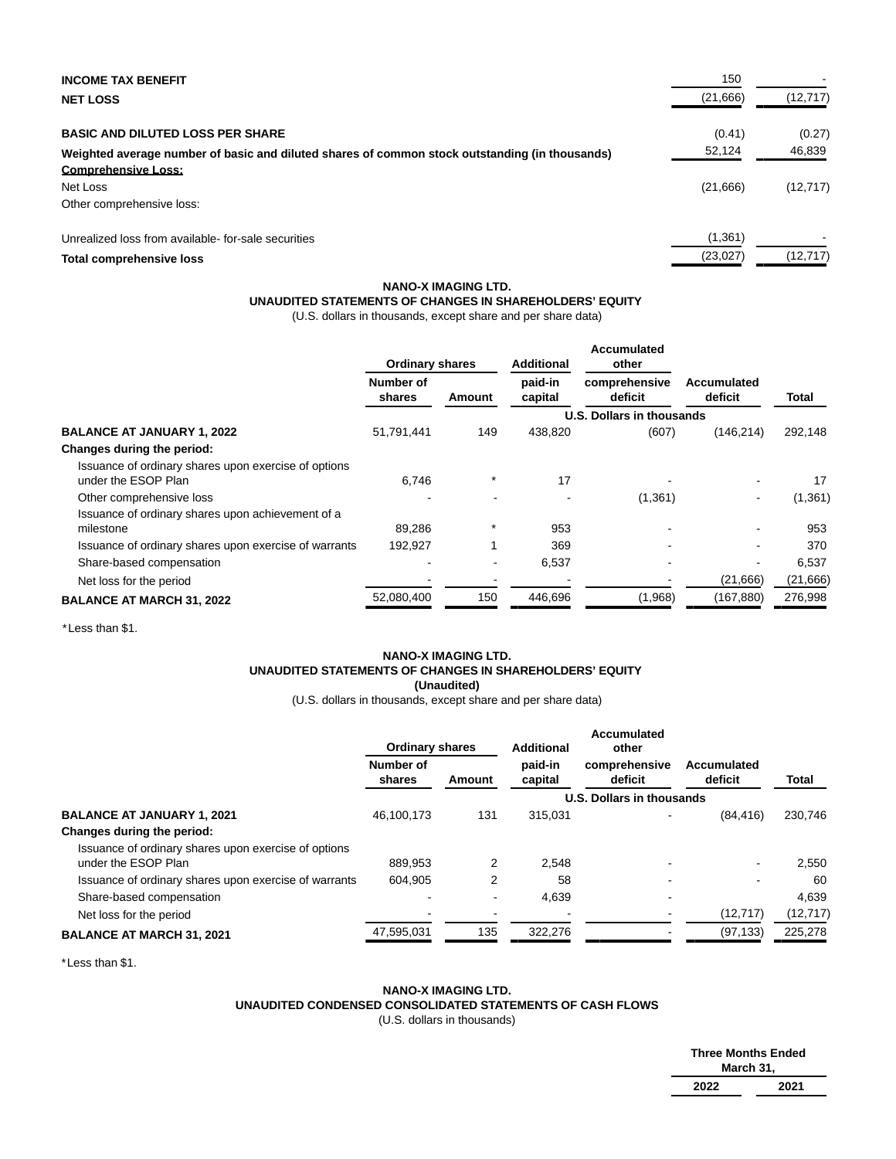| <b>INCOME TAX BENEFIT</b>                                                                      | 150       |           |
|------------------------------------------------------------------------------------------------|-----------|-----------|
| <b>NET LOSS</b>                                                                                | (21,666)  | (12, 717) |
| <b>BASIC AND DILUTED LOSS PER SHARE</b>                                                        | (0.41)    | (0.27)    |
| Weighted average number of basic and diluted shares of common stock outstanding (in thousands) | 52,124    | 46,839    |
| <b>Comprehensive Loss:</b>                                                                     |           |           |
| Net Loss                                                                                       | (21,666)  | (12, 717) |
| Other comprehensive loss:                                                                      |           |           |
| Unrealized loss from available-for-sale securities                                             | (1, 361)  |           |
| Total comprehensive loss                                                                       | (23, 027) | (12, 717) |

### **NANO-X IMAGING LTD.**

# **UNAUDITED STATEMENTS OF CHANGES IN SHAREHOLDERS' EQUITY**

(U.S. dollars in thousands, except share and per share data)

|                                                                             | <b>Ordinary shares</b> |                          | <b>Additional</b>  | Accumulated<br>other      |                        |          |
|-----------------------------------------------------------------------------|------------------------|--------------------------|--------------------|---------------------------|------------------------|----------|
|                                                                             | Number of<br>shares    | Amount                   | paid-in<br>capital | comprehensive<br>deficit  | Accumulated<br>deficit | Total    |
|                                                                             |                        |                          |                    | U.S. Dollars in thousands |                        |          |
| <b>BALANCE AT JANUARY 1, 2022</b>                                           | 51,791,441             | 149                      | 438,820            | (607)                     | (146, 214)             | 292,148  |
| Changes during the period:                                                  |                        |                          |                    |                           |                        |          |
| Issuance of ordinary shares upon exercise of options<br>under the ESOP Plan | 6.746                  | $^\star$                 | 17                 |                           |                        | 17       |
| Other comprehensive loss                                                    |                        |                          |                    | (1,361)                   | ۰.                     | (1, 361) |
| Issuance of ordinary shares upon achievement of a<br>milestone              | 89,286                 | $\star$                  | 953                |                           |                        | 953      |
| Issuance of ordinary shares upon exercise of warrants                       | 192,927                |                          | 369                |                           |                        | 370      |
| Share-based compensation                                                    |                        | $\overline{\phantom{a}}$ | 6,537              |                           |                        | 6,537    |
| Net loss for the period                                                     |                        |                          |                    |                           | (21,666)               | (21,666) |
| <b>BALANCE AT MARCH 31, 2022</b>                                            | 52,080,400             | 150                      | 446,696            | (1,968)                   | (167,880)              | 276,998  |

\*Less than \$1.

### **NANO-X IMAGING LTD. UNAUDITED STATEMENTS OF CHANGES IN SHAREHOLDERS' EQUITY (Unaudited)**

(U.S. dollars in thousands, except share and per share data)

|                                                                             | <b>Ordinary shares</b> |                          | <b>Additional</b>  | Accumulated<br>other      |                        |           |
|-----------------------------------------------------------------------------|------------------------|--------------------------|--------------------|---------------------------|------------------------|-----------|
|                                                                             | Number of<br>shares    | Amount                   | paid-in<br>capital | comprehensive<br>deficit  | Accumulated<br>deficit | Total     |
|                                                                             |                        |                          |                    | U.S. Dollars in thousands |                        |           |
| <b>BALANCE AT JANUARY 1, 2021</b>                                           | 46,100,173             | 131                      | 315,031            |                           | (84, 416)              | 230,746   |
| Changes during the period:                                                  |                        |                          |                    |                           |                        |           |
| Issuance of ordinary shares upon exercise of options<br>under the ESOP Plan | 889.953                | 2                        | 2.548              |                           |                        | 2,550     |
| Issuance of ordinary shares upon exercise of warrants                       | 604,905                | 2                        | 58                 |                           |                        | 60        |
| Share-based compensation                                                    |                        | $\overline{\phantom{a}}$ | 4.639              |                           |                        | 4,639     |
| Net loss for the period                                                     |                        |                          |                    |                           | (12, 717)              | (12, 717) |
| <b>BALANCE AT MARCH 31, 2021</b>                                            | 47,595,031             | 135                      | 322,276            |                           | (97, 133)              | 225,278   |

\*Less than \$1.

### **NANO-X IMAGING LTD. UNAUDITED CONDENSED CONSOLIDATED STATEMENTS OF CASH FLOWS** (U.S. dollars in thousands)

| <b>Three Months Ended</b> |      |
|---------------------------|------|
| March 31,                 |      |
| 2022                      | 2021 |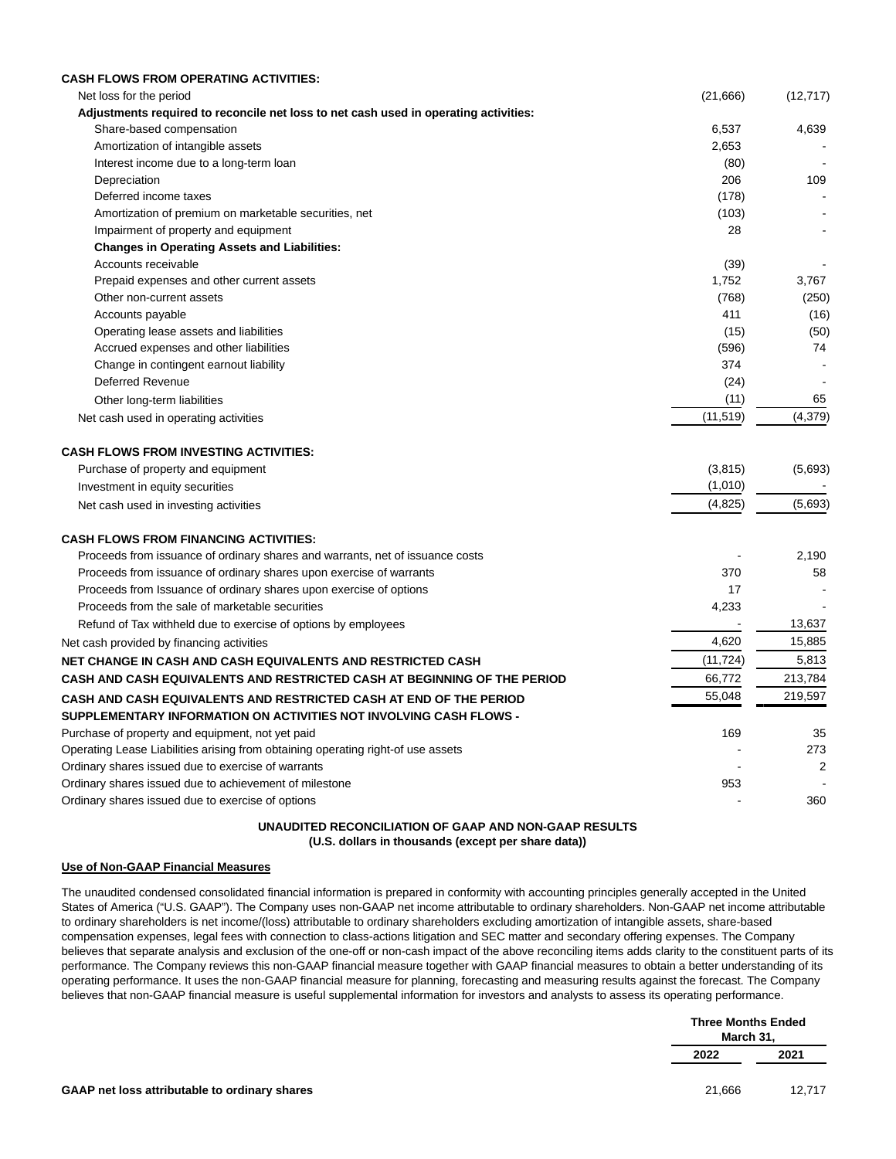| <b>CASH FLOWS FROM OPERATING ACTIVITIES:</b>                                         |           |           |
|--------------------------------------------------------------------------------------|-----------|-----------|
| Net loss for the period                                                              | (21,666)  | (12, 717) |
| Adjustments required to reconcile net loss to net cash used in operating activities: |           |           |
| Share-based compensation                                                             | 6,537     | 4,639     |
| Amortization of intangible assets                                                    | 2,653     |           |
| Interest income due to a long-term loan                                              | (80)      | $\sim$    |
| Depreciation                                                                         | 206       | 109       |
| Deferred income taxes                                                                | (178)     |           |
| Amortization of premium on marketable securities, net                                | (103)     |           |
| Impairment of property and equipment                                                 | 28        |           |
| <b>Changes in Operating Assets and Liabilities:</b>                                  |           |           |
| Accounts receivable                                                                  | (39)      |           |
| Prepaid expenses and other current assets                                            | 1,752     | 3,767     |
| Other non-current assets                                                             | (768)     | (250)     |
| Accounts payable                                                                     | 411       | (16)      |
| Operating lease assets and liabilities                                               | (15)      | (50)      |
| Accrued expenses and other liabilities                                               | (596)     | 74        |
| Change in contingent earnout liability                                               | 374       |           |
| Deferred Revenue                                                                     | (24)      |           |
| Other long-term liabilities                                                          | (11)      | 65        |
| Net cash used in operating activities                                                | (11, 519) | (4, 379)  |
| <b>CASH FLOWS FROM INVESTING ACTIVITIES:</b>                                         |           |           |
| Purchase of property and equipment                                                   | (3,815)   | (5,693)   |
| Investment in equity securities                                                      | (1,010)   |           |
| Net cash used in investing activities                                                | (4,825)   | (5,693)   |
| <b>CASH FLOWS FROM FINANCING ACTIVITIES:</b>                                         |           |           |
| Proceeds from issuance of ordinary shares and warrants, net of issuance costs        |           | 2,190     |
| Proceeds from issuance of ordinary shares upon exercise of warrants                  | 370       | 58        |
| Proceeds from Issuance of ordinary shares upon exercise of options                   | 17        |           |
| Proceeds from the sale of marketable securities                                      | 4,233     |           |
| Refund of Tax withheld due to exercise of options by employees                       |           | 13,637    |
| Net cash provided by financing activities                                            | 4,620     | 15,885    |
| NET CHANGE IN CASH AND CASH EQUIVALENTS AND RESTRICTED CASH                          | (11, 724) | 5,813     |
| CASH AND CASH EQUIVALENTS AND RESTRICTED CASH AT BEGINNING OF THE PERIOD             | 66,772    | 213,784   |
| CASH AND CASH EQUIVALENTS AND RESTRICTED CASH AT END OF THE PERIOD                   | 55,048    | 219,597   |
| SUPPLEMENTARY INFORMATION ON ACTIVITIES NOT INVOLVING CASH FLOWS -                   |           |           |
|                                                                                      | 169       | 35        |
| Purchase of property and equipment, not yet paid                                     |           | 273       |
| Operating Lease Liabilities arising from obtaining operating right-of use assets     |           |           |
| Ordinary shares issued due to exercise of warrants                                   | 953       | 2         |
| Ordinary shares issued due to achievement of milestone                               |           | 360       |
| Ordinary shares issued due to exercise of options                                    |           |           |

### **UNAUDITED RECONCILIATION OF GAAP AND NON-GAAP RESULTS (U.S. dollars in thousands (except per share data))**

# **Use of Non-GAAP Financial Measures**

The unaudited condensed consolidated financial information is prepared in conformity with accounting principles generally accepted in the United States of America ("U.S. GAAP"). The Company uses non-GAAP net income attributable to ordinary shareholders. Non-GAAP net income attributable to ordinary shareholders is net income/(loss) attributable to ordinary shareholders excluding amortization of intangible assets, share-based compensation expenses, legal fees with connection to class-actions litigation and SEC matter and secondary offering expenses. The Company believes that separate analysis and exclusion of the one-off or non-cash impact of the above reconciling items adds clarity to the constituent parts of its performance. The Company reviews this non-GAAP financial measure together with GAAP financial measures to obtain a better understanding of its operating performance. It uses the non-GAAP financial measure for planning, forecasting and measuring results against the forecast. The Company believes that non-GAAP financial measure is useful supplemental information for investors and analysts to assess its operating performance.

|                                               | <b>Three Months Ended</b><br>March 31, |        |
|-----------------------------------------------|----------------------------------------|--------|
|                                               | 2022                                   | 2021   |
| GAAP net loss attributable to ordinary shares | 21,666                                 | 12,717 |